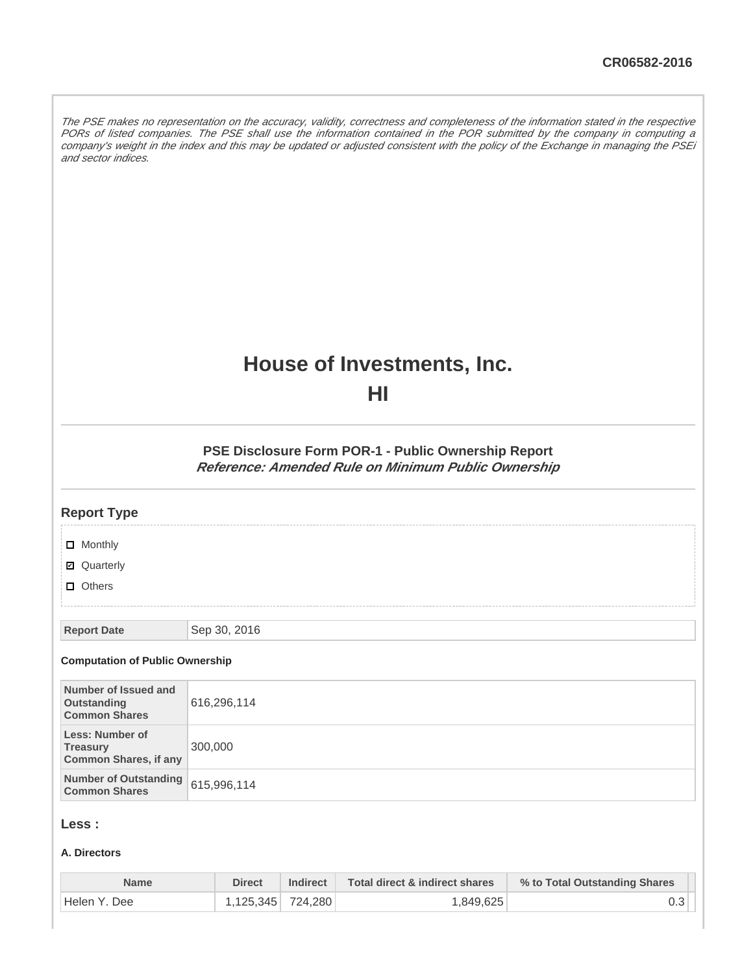The PSE makes no representation on the accuracy, validity, correctness and completeness of the information stated in the respective PORs of listed companies. The PSE shall use the information contained in the POR submitted by the company in computing a company's weight in the index and this may be updated or adjusted consistent with the policy of the Exchange in managing the PSEi and sector indices.

# **House of Investments, Inc.**

**HI**

**PSE Disclosure Form POR-1 - Public Ownership Report Reference: Amended Rule on Minimum Public Ownership**

| <b>Report Type</b>                                                        |              |
|---------------------------------------------------------------------------|--------------|
| □ Monthly<br>■ Quarterly<br>$\Box$ Others                                 |              |
| <b>Report Date</b>                                                        | Sep 30, 2016 |
| <b>Computation of Public Ownership</b>                                    |              |
| Number of Issued and<br><b>Outstanding</b><br><b>Common Shares</b>        | 616,296,114  |
| <b>Less: Number of</b><br><b>Treasury</b><br><b>Common Shares, if any</b> | 300,000      |
| <b>Number of Outstanding</b><br><b>Common Shares</b>                      | 615,996,114  |
|                                                                           |              |

# **Less :**

#### **A. Directors**

| <b>Name</b>    | <b>Direct</b>     | <b>Indirect</b> | Total direct & indirect shares | % to Total Outstanding Shares |
|----------------|-------------------|-----------------|--------------------------------|-------------------------------|
| ' Helen Y. Dee | 1.125.345 724.280 |                 | 1,849,625                      |                               |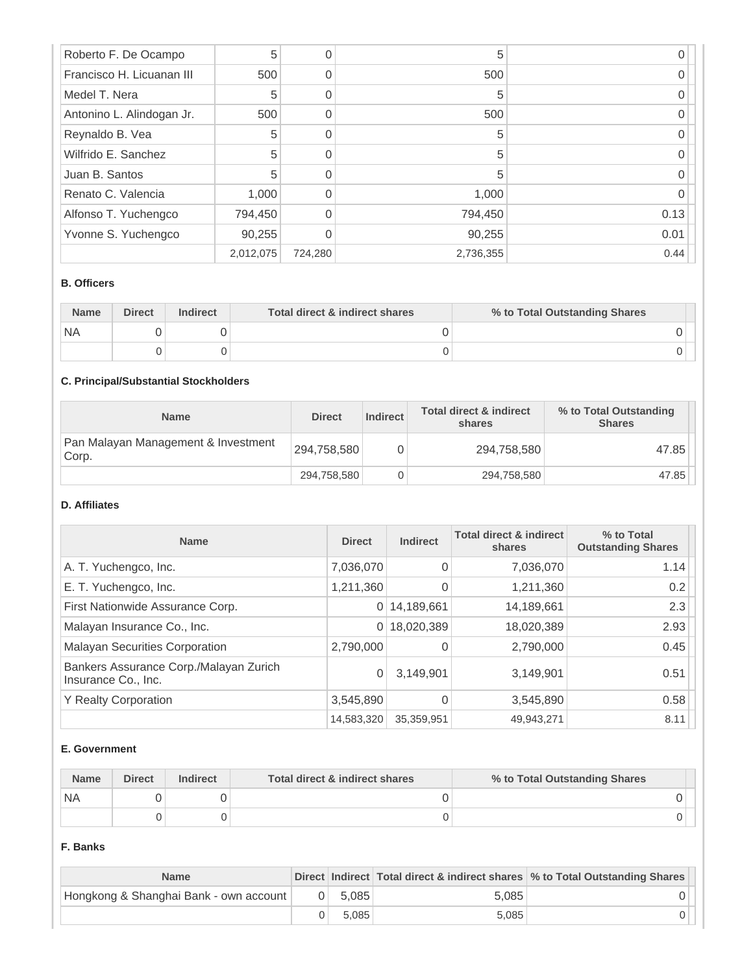| Roberto F. De Ocampo      | 5         |         | 5         |      |
|---------------------------|-----------|---------|-----------|------|
| Francisco H. Licuanan III | 500       |         | 500       |      |
| Medel T. Nera             | 5         |         | 5         |      |
| Antonino L. Alindogan Jr. | 500       |         | 500       |      |
| Reynaldo B. Vea           | 5         |         | 5         |      |
| Wilfrido E. Sanchez       | 5         |         | 5         |      |
| Juan B. Santos            | 5         |         | 5         |      |
| Renato C. Valencia        | 1,000     |         | 1,000     |      |
| Alfonso T. Yuchengco      | 794,450   |         | 794,450   | 0.13 |
| Yvonne S. Yuchengco       | 90,255    |         | 90,255    | 0.01 |
|                           | 2,012,075 | 724,280 | 2,736,355 | 0.44 |

#### **B. Officers**

| <b>Name</b> | <b>Direct</b> | <b>Indirect</b> | Total direct & indirect shares | % to Total Outstanding Shares |
|-------------|---------------|-----------------|--------------------------------|-------------------------------|
| `NA         |               |                 |                                |                               |
|             |               |                 |                                |                               |

# **C. Principal/Substantial Stockholders**

| <b>Name</b>                                  | <b>Direct</b> | Indirect | <b>Total direct &amp; indirect</b><br>shares | % to Total Outstanding<br><b>Shares</b> |
|----------------------------------------------|---------------|----------|----------------------------------------------|-----------------------------------------|
| Pan Malayan Management & Investment<br>Corp. | 294,758,580   |          | 294,758,580                                  | 47.85                                   |
|                                              | 294,758,580   |          | 294,758,580                                  | 47.85                                   |

# **D. Affiliates**

| <b>Name</b>                                                   | <b>Direct</b> | <b>Indirect</b> | <b>Total direct &amp; indirect</b><br>shares | % to Total<br><b>Outstanding Shares</b> |
|---------------------------------------------------------------|---------------|-----------------|----------------------------------------------|-----------------------------------------|
| A. T. Yuchengco, Inc.                                         | 7,036,070     | 0               | 7,036,070                                    | 1.14                                    |
| E. T. Yuchengco, Inc.                                         | 1,211,360     | 0               | 1,211,360                                    | 0.2                                     |
| First Nationwide Assurance Corp.                              | 0             | 14,189,661      | 14,189,661                                   | 2.3                                     |
| Malayan Insurance Co., Inc.                                   | 0             | 18,020,389      | 18,020,389                                   | 2.93                                    |
| <b>Malayan Securities Corporation</b>                         | 2,790,000     |                 | 2,790,000                                    | 0.45                                    |
| Bankers Assurance Corp./Malayan Zurich<br>Insurance Co., Inc. | 0             | 3,149,901       | 3,149,901                                    | 0.51                                    |
| <b>Y Realty Corporation</b>                                   | 3,545,890     |                 | 3,545,890                                    | 0.58                                    |
|                                                               | 14,583,320    | 35,359,951      | 49,943,271                                   | 8.11                                    |

#### **E. Government**

| <b>Name</b> | <b>Direct</b><br><b>Indirect</b> |  | Total direct & indirect shares | % to Total Outstanding Shares |  |
|-------------|----------------------------------|--|--------------------------------|-------------------------------|--|
| `NA         |                                  |  |                                |                               |  |
|             |                                  |  |                                |                               |  |

#### **F. Banks**

| <b>Name</b>                            |           |       | Direct Indirect Total direct & indirect shares % to Total Outstanding Shares |
|----------------------------------------|-----------|-------|------------------------------------------------------------------------------|
| Hongkong & Shanghai Bank - own account | $0$ 5.085 | 5.085 |                                                                              |
|                                        | 5.085     | 5.085 |                                                                              |